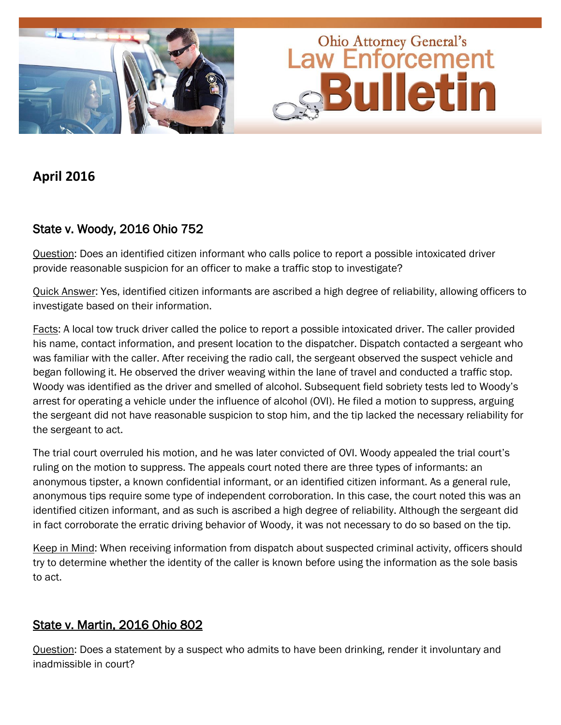

## **April 2016**

# State v. Woody, 2016 Ohio 752

Question: Does an identified citizen informant who calls police to report a possible intoxicated driver provide reasonable suspicion for an officer to make a traffic stop to investigate?

Quick Answer: Yes, identified citizen informants are ascribed a high degree of reliability, allowing officers to investigate based on their information.

Facts: A local tow truck driver called the police to report a possible intoxicated driver. The caller provided his name, contact information, and present location to the dispatcher. Dispatch contacted a sergeant who was familiar with the caller. After receiving the radio call, the sergeant observed the suspect vehicle and began following it. He observed the driver weaving within the lane of travel and conducted a traffic stop. Woody was identified as the driver and smelled of alcohol. Subsequent field sobriety tests led to Woody's arrest for operating a vehicle under the influence of alcohol (OVI). He filed a motion to suppress, arguing the sergeant did not have reasonable suspicion to stop him, and the tip lacked the necessary reliability for the sergeant to act.

The trial court overruled his motion, and he was later convicted of OVI. Woody appealed the trial court's ruling on the motion to suppress. The appeals court noted there are three types of informants: an anonymous tipster, a known confidential informant, or an identified citizen informant. As a general rule, anonymous tips require some type of independent corroboration. In this case, the court noted this was an identified citizen informant, and as such is ascribed a high degree of reliability. Although the sergeant did in fact corroborate the erratic driving behavior of Woody, it was not necessary to do so based on the tip.

Keep in Mind: When receiving information from dispatch about suspected criminal activity, officers should try to determine whether the identity of the caller is known before using the information as the sole basis to act.

#### State v. Martin, 2016 Ohio 802

Question: Does a statement by a suspect who admits to have been drinking, render it involuntary and inadmissible in court?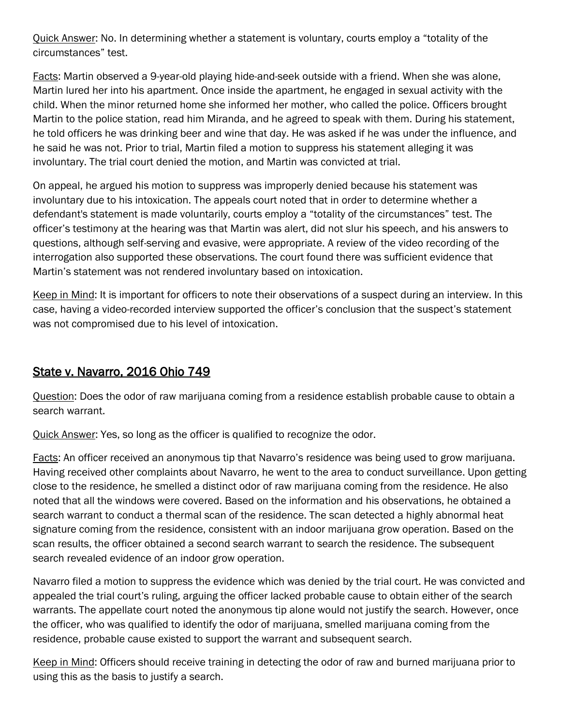Quick Answer: No. In determining whether a statement is voluntary, courts employ a "totality of the circumstances" test.

Facts: Martin observed a 9-year-old playing hide-and-seek outside with a friend. When she was alone, Martin lured her into his apartment. Once inside the apartment, he engaged in sexual activity with the child. When the minor returned home she informed her mother, who called the police. Officers brought Martin to the police station, read him Miranda, and he agreed to speak with them. During his statement, he told officers he was drinking beer and wine that day. He was asked if he was under the influence, and he said he was not. Prior to trial, Martin filed a motion to suppress his statement alleging it was involuntary. The trial court denied the motion, and Martin was convicted at trial.

On appeal, he argued his motion to suppress was improperly denied because his statement was involuntary due to his intoxication. The appeals court noted that in order to determine whether a defendant's statement is made voluntarily, courts employ a "totality of the circumstances" test. The officer's testimony at the hearing was that Martin was alert, did not slur his speech, and his answers to questions, although self-serving and evasive, were appropriate. A review of the video recording of the interrogation also supported these observations. The court found there was sufficient evidence that Martin's statement was not rendered involuntary based on intoxication.

Keep in Mind: It is important for officers to note their observations of a suspect during an interview. In this case, having a video-recorded interview supported the officer's conclusion that the suspect's statement was not compromised due to his level of intoxication.

#### State v. Navarro, 2016 Ohio 749

Question: Does the odor of raw marijuana coming from a residence establish probable cause to obtain a search warrant.

Quick Answer: Yes, so long as the officer is qualified to recognize the odor.

Facts: An officer received an anonymous tip that Navarro's residence was being used to grow marijuana. Having received other complaints about Navarro, he went to the area to conduct surveillance. Upon getting close to the residence, he smelled a distinct odor of raw marijuana coming from the residence. He also noted that all the windows were covered. Based on the information and his observations, he obtained a search warrant to conduct a thermal scan of the residence. The scan detected a highly abnormal heat signature coming from the residence, consistent with an indoor marijuana grow operation. Based on the scan results, the officer obtained a second search warrant to search the residence. The subsequent search revealed evidence of an indoor grow operation.

Navarro filed a motion to suppress the evidence which was denied by the trial court. He was convicted and appealed the trial court's ruling, arguing the officer lacked probable cause to obtain either of the search warrants. The appellate court noted the anonymous tip alone would not justify the search. However, once the officer, who was qualified to identify the odor of marijuana, smelled marijuana coming from the residence, probable cause existed to support the warrant and subsequent search.

Keep in Mind: Officers should receive training in detecting the odor of raw and burned marijuana prior to using this as the basis to justify a search.